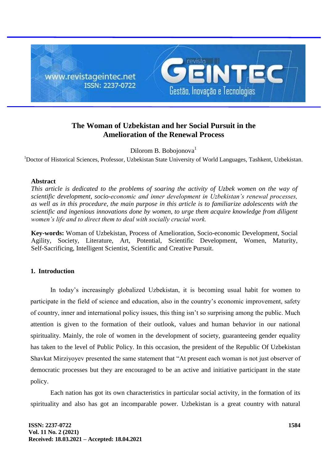

# **The Woman of Uzbekistan and her Social Pursuit in the Amelioration of the Renewal Process**

Dilorom B. Bobojonova<sup>1</sup>

<sup>1</sup>Doctor of Historical Sciences, Professor, Uzbekistan State University of World Languages, Tashkent, Uzbekistan.

## **Abstract**

*This article is dedicated to the problems of soaring the activity of Uzbek women on the way of scientific development, socio-economic and inner development in Uzbekistan's renewal processes, as well as in this procedure, the main purpose in this article is to familiarize adolescents with the scientific and ingenious innovations done by women, to urge them acquire knowledge from diligent women's life and to direct them to deal with socially crucial work.*

**Key-words:** Woman of Uzbekistan, Process of Amelioration, Socio-economic Development, Social Agility, Society, Literature, Art, Potential, Scientific Development, Women, Maturity, Self-Sacrificing, Intelligent Scientist, Scientific and Creative Pursuit.

## **1. Introduction**

In today's increasingly globalized Uzbekistan, it is becoming usual habit for women to participate in the field of science and education, also in the country's economic improvement, safety of country, inner and international policy issues, this thing isn't so surprising among the public. Much attention is given to the formation of their outlook, values and human behavior in our national spirituality. Mainly, the role of women in the development of society, guaranteeing gender equality has taken to the level of Public Policy. In this occasion, the president of the Republic Of Uzbekistan Shavkat Mirziyoyev presented the same statement that "At present each woman is not just observer of democratic processes but they are encouraged to be an active and initiative participant in the state policy.

Each nation has got its own characteristics in particular social activity, in the formation of its spirituality and also has got an incomparable power. Uzbekistan is a great country with natural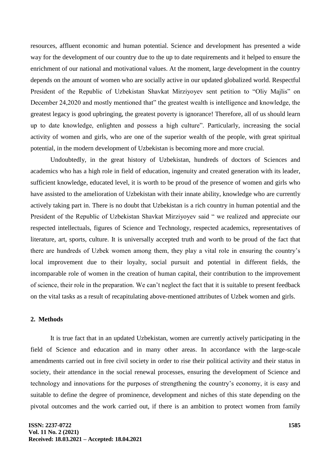resources, affluent economic and human potential. Science and development has presented a wide way for the development of our country due to the up to date requirements and it helped to ensure the enrichment of our national and motivational values. At the moment, large development in the country depends on the amount of women who are socially active in our updated globalized world. Respectful President of the Republic of Uzbekistan Shavkat Mirziyoyev sent petition to "Oliy Majlis" on December 24,2020 and mostly mentioned that" the greatest wealth is intelligence and knowledge, the greatest legacy is good upbringing, the greatest poverty is ignorance! Therefore, all of us should learn up to date knowledge, enlighten and possess a high culture". Particularly, increasing the social activity of women and girls, who are one of the superior wealth of the people, with great spiritual potential, in the modern development of Uzbekistan is becoming more and more crucial.

Undoubtedly, in the great history of Uzbekistan, hundreds of doctors of Sciences and academics who has a high role in field of education, ingenuity and created generation with its leader, sufficient knowledge, educated level, it is worth to be proud of the presence of women and girls who have assisted to the amelioration of Uzbekistan with their innate ability, knowledge who are currently actively taking part in. There is no doubt that Uzbekistan is a rich country in human potential and the President of the Republic of Uzbekistan Shavkat Mirziyoyev said " we realized and appreciate our respected intellectuals, figures of Science and Technology, respected academics, representatives of literature, art, sports, culture. It is universally accepted truth and worth to be proud of the fact that there are hundreds of Uzbek women among them, they play a vital role in ensuring the country's local improvement due to their loyalty, social pursuit and potential in different fields, the incomparable role of women in the creation of human capital, their contribution to the improvement of science, their role in the preparation. We can't neglect the fact that it is suitable to present feedback on the vital tasks as a result of recapitulating above-mentioned attributes of Uzbek women and girls.

## **2. Methods**

It is true fact that in an updated Uzbekistan, women are currently actively participating in the field of Science and education and in many other areas. In accordance with the large-scale amendments carried out in free civil society in order to rise their political activity and their status in society, their attendance in the social renewal processes, ensuring the development of Science and technology and innovations for the purposes of strengthening the country's economy, it is easy and suitable to define the degree of prominence, development and niches of this state depending on the pivotal outcomes and the work carried out, if there is an ambition to protect women from family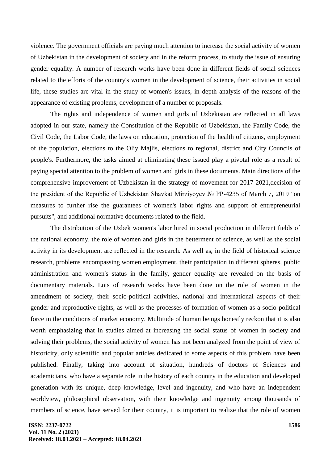violence. The government officials are paying much attention to increase the social activity of women of Uzbekistan in the development of society and in the reform process, to study the issue of ensuring gender equality. A number of research works have been done in different fields of social sciences related to the efforts of the country's women in the development of science, their activities in social life, these studies are vital in the study of women's issues, in depth analysis of the reasons of the appearance of existing problems, development of a number of proposals.

The rights and independence of women and girls of Uzbekistan are reflected in all laws adopted in our state, namely the Constitution of the Republic of Uzbekistan, the Family Code, the Civil Code, the Labor Code, the laws on education, protection of the health of citizens, employment of the population, elections to the Oliy Majlis, elections to regional, district and City Councils of people's. Furthermore, the tasks aimed at eliminating these issued play a pivotal role as a result of paying special attention to the problem of women and girls in these documents. Main directions of the comprehensive improvement of Uzbekistan in the strategy of movement for 2017-2021,decision of the president of the Republic of Uzbekistan Shavkat Mirziyoyev № PP-4235 of March 7, 2019 "on measures to further rise the guarantees of women's labor rights and support of entrepreneurial pursuits", and additional normative documents related to the field.

The distribution of the Uzbek women's labor hired in social production in different fields of the national economy, the role of women and girls in the betterment of science, as well as the social activity in its development are reflected in the research. As well as, in the field of historical science research, problems encompassing women employment, their participation in different spheres, public administration and women's status in the family, gender equality are revealed on the basis of documentary materials. Lots of research works have been done on the role of women in the amendment of society, their socio-political activities, national and international aspects of their gender and reproductive rights, as well as the processes of formation of women as a socio-political force in the conditions of market economy. Multitude of human beings honestly reckon that it is also worth emphasizing that in studies aimed at increasing the social status of women in society and solving their problems, the social activity of women has not been analyzed from the point of view of historicity, only scientific and popular articles dedicated to some aspects of this problem have been published. Finally, taking into account of situation, hundreds of doctors of Sciences and academicians, who have a separate role in the history of each country in the education and developed generation with its unique, deep knowledge, level and ingenuity, and who have an independent worldview, philosophical observation, with their knowledge and ingenuity among thousands of members of science, have served for their country, it is important to realize that the role of women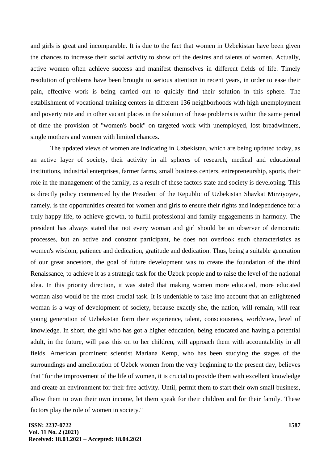and girls is great and incomparable. It is due to the fact that women in Uzbekistan have been given the chances to increase their social activity to show off the desires and talents of women. Actually, active women often achieve success and manifest themselves in different fields of life. Timely resolution of problems have been brought to serious attention in recent years, in order to ease their pain, effective work is being carried out to quickly find their solution in this sphere. The establishment of vocational training centers in different 136 neighborhoods with high unemployment and poverty rate and in other vacant places in the solution of these problems is within the same period of time the provision of "women's book" on targeted work with unemployed, lost breadwinners, single mothers and women with limited chances.

The updated views of women are indicating in Uzbekistan, which are being updated today, as an active layer of society, their activity in all spheres of research, medical and educational institutions, industrial enterprises, farmer farms, small business centers, entrepreneurship, sports, their role in the management of the family, as a result of these factors state and society is developing. This is directly policy commenced by the President of the Republic of Uzbekistan Shavkat Mirziyoyev, namely, is the opportunities created for women and girls to ensure their rights and independence for a truly happy life, to achieve growth, to fulfill professional and family engagements in harmony. The president has always stated that not every woman and girl should be an observer of democratic processes, but an active and constant participant, he does not overlook such characteristics as women's wisdom, patience and dedication, gratitude and dedication. Thus, being a suitable generation of our great ancestors, the goal of future development was to create the foundation of the third Renaissance, to achieve it as a strategic task for the Uzbek people and to raise the level of the national idea. In this priority direction, it was stated that making women more educated, more educated woman also would be the most crucial task. It is undeniable to take into account that an enlightened woman is a way of development of society, because exactly she, the nation, will remain, will rear young generation of Uzbekistan form their experience, talent, consciousness, worldview, level of knowledge. In short, the girl who has got a higher education, being educated and having a potential adult, in the future, will pass this on to her children, will approach them with accountability in all fields. American prominent scientist Mariana Kemp, who has been studying the stages of the surroundings and amelioration of Uzbek women from the very beginning to the present day, believes that "for the improvement of the life of women, it is crucial to provide them with excellent knowledge and create an environment for their free activity. Until, permit them to start their own small business, allow them to own their own income, let them speak for their children and for their family. These factors play the role of women in society."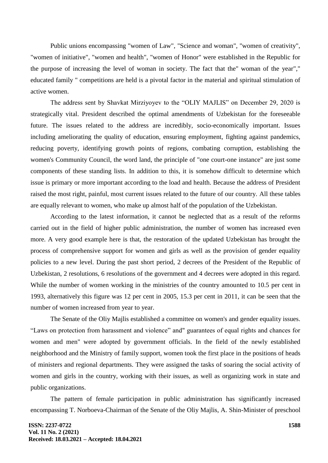Public unions encompassing "women of Law", "Science and woman", "women of creativity", "women of initiative", "women and health", "women of Honor" were established in the Republic for the purpose of increasing the level of woman in society. The fact that the" woman of the year"," educated family " competitions are held is a pivotal factor in the material and spiritual stimulation of active women.

The address sent by Shavkat Mirziyoyev to the "OLIY MAJLIS" on December 29, 2020 is strategically vital. President described the optimal amendments of Uzbekistan for the foreseeable future. The issues related to the address are incredibly, socio-economically important. Issues including ameliorating the quality of education, ensuring employment, fighting against pandemics, reducing poverty, identifying growth points of regions, combating corruption, establishing the women's Community Council, the word land, the principle of "one court-one instance" are just some components of these standing lists. In addition to this, it is somehow difficult to determine which issue is primary or more important according to the load and health. Because the address of President raised the most right, painful, most current issues related to the future of our country. All these tables are equally relevant to women, who make up almost half of the population of the Uzbekistan.

According to the latest information, it cannot be neglected that as a result of the reforms carried out in the field of higher public administration, the number of women has increased even more. A very good example here is that, the restoration of the updated Uzbekistan has brought the process of comprehensive support for women and girls as well as the provision of gender equality policies to a new level. During the past short period, 2 decrees of the President of the Republic of Uzbekistan, 2 resolutions, 6 resolutions of the government and 4 decrees were adopted in this regard. While the number of women working in the ministries of the country amounted to 10.5 per cent in 1993, alternatively this figure was 12 per cent in 2005, 15.3 per cent in 2011, it can be seen that the number of women increased from year to year.

The Senate of the Oliy Majlis established a committee on women's and gender equality issues. "Laws on protection from harassment and violence" and" guarantees of equal rights and chances for women and men" were adopted by government officials. In the field of the newly established neighborhood and the Ministry of family support, women took the first place in the positions of heads of ministers and regional departments. They were assigned the tasks of soaring the social activity of women and girls in the country, working with their issues, as well as organizing work in state and public organizations.

The pattern of female participation in public administration has significantly increased encompassing T. Norboeva-Chairman of the Senate of the Oliy Majlis, A. Shin-Minister of preschool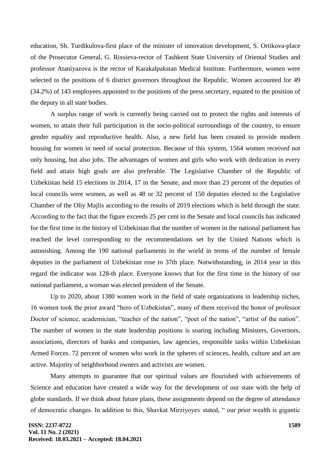education, Sh. Turdikulova-first place of the minister of innovation development, S. Ortikova-place of the Prosecutor General, G. Rixsieva-rector of Tashkent State University of Oriental Studies and professor Ataniyazova is the rector of Karakalpakstan Medical Institute. Furthermore, women were selected to the positions of 6 district governors throughout the Republic. Women accounted for 49 (34.2%) of 143 employees appointed to the positions of the press secretary, equated to the position of the deputy in all state bodies.

A surplus range of work is currently being carried out to protect the rights and interests of women, to attain their full participation in the socio-political surroundings of the country, to ensure gender equality and reproductive health. Also, a new field has been created to provide modern housing for women in need of social protection. Because of this system, 1564 women received not only housing, but also jobs. The advantages of women and girls who work with dedication in every field and attain high goals are also preferable. The Legislative Chamber of the Republic of Uzbekistan held 15 elections in 2014, 17 in the Senate, and more than 23 percent of the deputies of local councils were women, as well as 48 or 32 percent of 150 deputies elected to the Legislative Chamber of the Oliy Majlis according to the results of 2019 elections which is held through the state. According to the fact that the figure exceeds 25 per cent in the Senate and local councils has indicated for the first time in the history of Uzbekistan that the number of women in the national parliament has reached the level corresponding to the recommendations set by the United Nations which is astonishing. Among the 190 national parliaments in the world in terms of the number of female deputies in the parliament of Uzbekistan rose to 37th place. Notwithstanding, in 2014 year in this regard the indicator was 128-th place. Everyone knows that for the first time in the history of our national parliament, a woman was elected president of the Senate.

Up to 2020, about 1380 women work in the field of state organizations in leadership niches, 16 women took the prior award "hero of Uzbekistan", many of them received the honor of professor Doctor of science, academician, "teacher of the nation", "poet of the nation", "artist of the nation". The number of women in the state leadership positions is soaring including Ministers, Governors, associations, directors of banks and companies, law agencies, responsible tasks within Uzbekistan Armed Forces. 72 percent of women who work in the spheres of sciences, health, culture and art are active. Majority of neighborhood owners and activists are women.

Many attempts to guarantee that our spiritual values are flourished with achievements of Science and education have created a wide way for the development of our state with the help of globe standards. If we think about future plans, these assignments depend on the degree of attendance of democratic changes. In addition to this, Shavkat Mirziyoyev stated, " our prior wealth is gigantic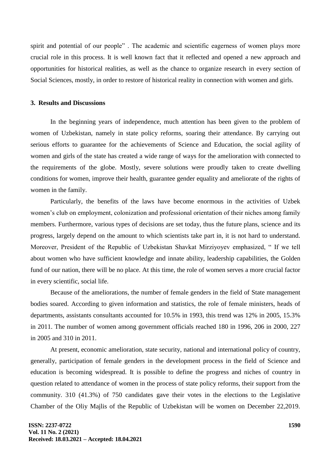spirit and potential of our people" . The academic and scientific eagerness of women plays more crucial role in this process. It is well known fact that it reflected and opened a new approach and opportunities for historical realities, as well as the chance to organize research in every section of Social Sciences, mostly, in order to restore of historical reality in connection with women and girls.

#### **3. Results and Discussions**

In the beginning years of independence, much attention has been given to the problem of women of Uzbekistan, namely in state policy reforms, soaring their attendance. By carrying out serious efforts to guarantee for the achievements of Science and Education, the social agility of women and girls of the state has created a wide range of ways for the amelioration with connected to the requirements of the globe. Mostly, severe solutions were proudly taken to create dwelling conditions for women, improve their health, guarantee gender equality and ameliorate of the rights of women in the family.

Particularly, the benefits of the laws have become enormous in the activities of Uzbek women's club on employment, colonization and professional orientation of their niches among family members. Furthermore, various types of decisions are set today, thus the future plans, science and its progress, largely depend on the amount to which scientists take part in, it is not hard to understand. Moreover, President of the Republic of Uzbekistan Shavkat Mirziyoyev emphasized, " If we tell about women who have sufficient knowledge and innate ability, leadership capabilities, the Golden fund of our nation, there will be no place. At this time, the role of women serves a more crucial factor in every scientific, social life.

Because of the ameliorations, the number of female genders in the field of State management bodies soared. According to given information and statistics, the role of female ministers, heads of departments, assistants consultants accounted for 10.5% in 1993, this trend was 12% in 2005, 15.3% in 2011. The number of women among government officials reached 180 in 1996, 206 in 2000, 227 in 2005 and 310 in 2011.

At present, economic amelioration, state security, national and international policy of country, generally, participation of female genders in the development process in the field of Science and education is becoming widespread. It is possible to define the progress and niches of country in question related to attendance of women in the process of state policy reforms, their support from the community. 310 (41.3%) of 750 candidates gave their votes in the elections to the Legislative Chamber of the Oliy Majlis of the Republic of Uzbekistan will be women on December 22,2019.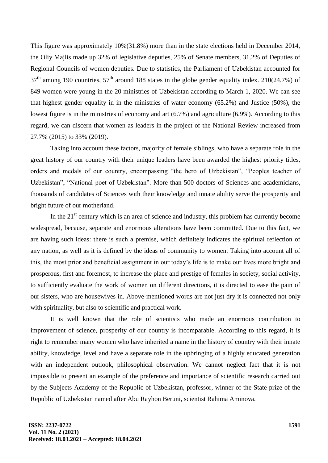This figure was approximately 10%(31.8%) more than in the state elections held in December 2014, the Oliy Majlis made up 32% of legislative deputies, 25% of Senate members, 31.2% of Deputies of Regional Councils of women deputies. Due to statistics, the Parliament of Uzbekistan accounted for  $37<sup>th</sup>$  among 190 countries,  $57<sup>th</sup>$  around 188 states in the globe gender equality index. 210(24.7%) of 849 women were young in the 20 ministries of Uzbekistan according to March 1, 2020. We can see that highest gender equality in in the ministries of water economy (65.2%) and Justice (50%), the lowest figure is in the ministries of economy and art (6.7%) and agriculture (6.9%). According to this regard, we can discern that women as leaders in the project of the National Review increased from 27.7% (2015) to 33% (2019).

Taking into account these factors, majority of female siblings, who have a separate role in the great history of our country with their unique leaders have been awarded the highest priority titles, orders and medals of our country, encompassing "the hero of Uzbekistan", "Peoples teacher of Uzbekistan", "National poet of Uzbekistan". More than 500 doctors of Sciences and academicians, thousands of candidates of Sciences with their knowledge and innate ability serve the prosperity and bright future of our motherland.

In the  $21<sup>st</sup>$  century which is an area of science and industry, this problem has currently become widespread, because, separate and enormous alterations have been committed. Due to this fact, we are having such ideas: there is such a premise, which definitely indicates the spiritual reflection of any nation, as well as it is defined by the ideas of community to women. Taking into account all of this, the most prior and beneficial assignment in our today's life is to make our lives more bright and prosperous, first and foremost, to increase the place and prestige of females in society, social activity, to sufficiently evaluate the work of women on different directions, it is directed to ease the pain of our sisters, who are housewives in. Above-mentioned words are not just dry it is connected not only with spirituality, but also to scientific and practical work.

It is well known that the role of scientists who made an enormous contribution to improvement of science, prosperity of our country is incomparable. According to this regard, it is right to remember many women who have inherited a name in the history of country with their innate ability, knowledge, level and have a separate role in the upbringing of a highly educated generation with an independent outlook, philosophical observation. We cannot neglect fact that it is not impossible to present an example of the preference and importance of scientific research carried out by the Subjects Academy of the Republic of Uzbekistan, professor, winner of the State prize of the Republic of Uzbekistan named after Abu Rayhon Beruni, scientist Rahima Aminova.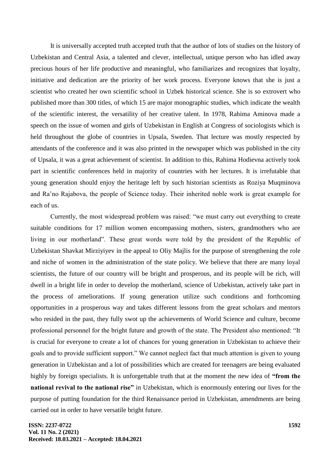It is universally accepted truth accepted truth that the author of lots of studies on the history of Uzbekistan and Central Asia, a talented and clever, intellectual, unique person who has idled away precious hours of her life productive and meaningful, who familiarizes and recognizes that loyalty, initiative and dedication are the priority of her work process. Everyone knows that she is just a scientist who created her own scientific school in Uzbek historical science. She is so extrovert who published more than 300 titles, of which 15 are major monographic studies, which indicate the wealth of the scientific interest, the versatility of her creative talent. In 1978, Rahima Aminova made a speech on the issue of women and girls of Uzbekistan in English at Congress of sociologists which is held throughout the globe of countries in Upsala, Sweden. That lecture was mostly respected by attendants of the conference and it was also printed in the newspaper which was published in the city of Upsala, it was a great achievement of scientist. In addition to this, Rahima Hodievna actively took part in scientific conferences held in majority of countries with her lectures. It is irrefutable that young generation should enjoy the heritage left by such historian scientists as Roziya Muqminova and Ra'no Rajabova, the people of Science today. Their inherited noble work is great example for each of us.

Currently, the most widespread problem was raised: "we must carry out everything to create suitable conditions for 17 million women encompassing mothers, sisters, grandmothers who are living in our motherland". These great words were told by the president of the Republic of Uzbekistan Shavkat Mirziyiyev in the appeal to Oliy Majlis for the purpose of strengthening the role and niche of women in the administration of the state policy. We believe that there are many loyal scientists, the future of our country will be bright and prosperous, and its people will be rich, will dwell in a bright life in order to develop the motherland, science of Uzbekistan, actively take part in the process of ameliorations. If young generation utilize such conditions and forthcoming opportunities in a prosperous way and takes different lessons from the great scholars and mentors who resided in the past, they fully swot up the achievements of World Science and culture, become professional personnel for the bright future and growth of the state. The President also mentioned: "It is crucial for everyone to create a lot of chances for young generation in Uzbekistan to achieve their goals and to provide sufficient support." We cannot neglect fact that much attention is given to young generation in Uzbekistan and a lot of possibilities which are created for teenagers are being evaluated highly by foreign specialists. It is unforgettable truth that at the moment the new idea of **"from the national revival to the national rise"** in Uzbekistan, which is enormously entering our lives for the purpose of putting foundation for the third Renaissance period in Uzbekistan, amendments are being carried out in order to have versatile bright future.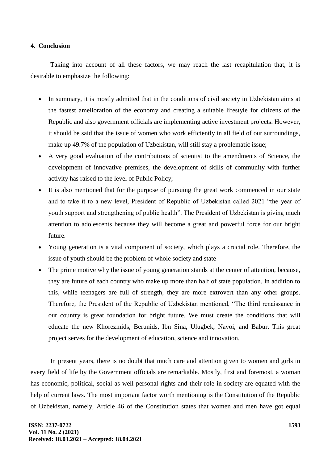#### **4. Conclusion**

Taking into account of all these factors, we may reach the last recapitulation that, it is desirable to emphasize the following:

- In summary, it is mostly admitted that in the conditions of civil society in Uzbekistan aims at the fastest amelioration of the economy and creating a suitable lifestyle for citizens of the Republic and also government officials are implementing active investment projects. However, it should be said that the issue of women who work efficiently in all field of our surroundings, make up 49.7% of the population of Uzbekistan, will still stay a problematic issue;
- A very good evaluation of the contributions of scientist to the amendments of Science, the development of innovative premises, the development of skills of community with further activity has raised to the level of Public Policy;
- It is also mentioned that for the purpose of pursuing the great work commenced in our state and to take it to a new level, President of Republic of Uzbekistan called 2021 "the year of youth support and strengthening of public health". The President of Uzbekistan is giving much attention to adolescents because they will become a great and powerful force for our bright future.
- Young generation is a vital component of society, which plays a crucial role. Therefore, the issue of youth should be the problem of whole society and state
- The prime motive why the issue of young generation stands at the center of attention, because, they are future of each country who make up more than half of state population. In addition to this, while teenagers are full of strength, they are more extrovert than any other groups. Therefore, the President of the Republic of Uzbekistan mentioned, "The third renaissance in our country is great foundation for bright future. We must create the conditions that will educate the new Khorezmids, Berunids, Ibn Sina, Ulugbek, Navoi, and Babur. This great project serves for the development of education, science and innovation.

In present years, there is no doubt that much care and attention given to women and girls in every field of life by the Government officials are remarkable. Mostly, first and foremost, a woman has economic, political, social as well personal rights and their role in society are equated with the help of current laws. The most important factor worth mentioning is the Constitution of the Republic of Uzbekistan, namely, Article 46 of the Constitution states that women and men have got equal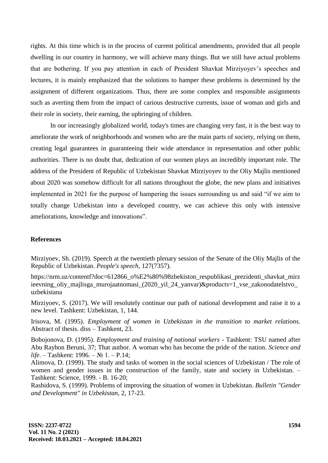rights. At this time which is in the process of current political amendments, provided that all people dwelling in our country in harmony, we will achieve many things. But we still have actual problems that are bothering. If you pay attention in each of President Shavkat Mirziyoyev's speeches and lectures, it is mainly emphasized that the solutions to hamper these problems is determined by the assignment of different organizations. Thus, there are some complex and responsible assignments such as averting them from the impact of carious destructive currents, issue of woman and girls and their role in society, their earning, the upbringing of children.

In our increasingly globalized world, today's times are changing very fast, it is the best way to ameliorate the work of neighborhoods and women who are the main parts of society, relying on them, creating legal guarantees in guaranteeing their wide attendance in representation and other public authorities. There is no doubt that, dedication of our women plays an incredibly important role. The address of the President of Republic of Uzbekistan Shavkat Mirziyoyev to the Oliy Majlis mentioned about 2020 was somehow difficult for all nations throughout the globe, the new plans and initiatives implemented in 2021 for the purpose of hampering the issues surrounding us and said "if we aim to totally change Uzbekistan into a developed country, we can achieve this only with intensive ameliorations, knowledge and innovations".

## **References**

Mirziyoev, Sh. (2019). Speech at the twentieth plenary session of the Senate of the Oliy Majlis of the Republic of Uzbekistan. *People's speech,* 127(7357).

https://nrm.uz/contentf?doc=612866\_o%E2%80%98zbekiston\_respublikasi\_prezidenti\_shavkat\_mirz ieevning\_oliy\_majlisga\_murojaatnomasi\_(2020\_yil\_24\_yanvar)&products=1\_vse\_zakonodatelstvo\_ uzbekistana

Mirziyoev, S. (2017). We will resolutely continue our path of national development and raise it to a new level. Tashkent: Uzbekistan, 1, 144.

Irisova, M. (1995). *Employment of women in Uzbekistan in the transition to market relations.*  Abstract of thesis. diss – Tashkent, 23.

Bobojonova, D. (1995). *Employment and training of national workers* - Tashkent: TSU named after Abu Rayhon Beruni, 37; That author. A woman who has become the pride of the nation. *Science and life*. – Tashkent: 1996. – № 1. – P.14;

Alimova, D. (1999). The study and tasks of women in the social sciences of Uzbekistan / The role of women and gender issues in the construction of the family, state and society in Uzbekistan. – Tashkent: Science, 1999. - B. 16-20;

Rashidova, S. (1999). Problems of improving the situation of women in Uzbekistan. *Bulletin "Gender and Development" in Uzbekistan,* 2, 17-23.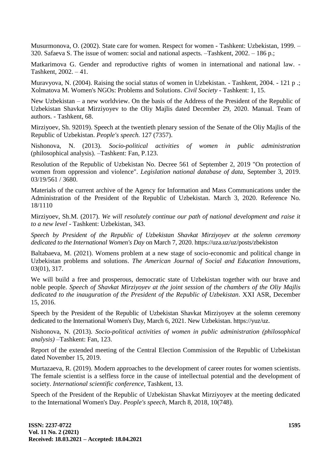Musurmonova, O. (2002). State care for women. Respect for women - Tashkent: Uzbekistan, 1999. – 320. Safaeva S. The issue of women: social and national aspects. –Tashkent, 2002. – 186 p.;

Matkarimova G. Gender and reproductive rights of women in international and national law. - Tashkent, 2002. – 41.

Muravyova, N. (2004). Raising the social status of women in Uzbekistan. - Tashkent, 2004. - 121 p .; Xolmatova M. Women's NGOs: Problems and Solutions. *Civil Society* - Tashkent: 1, 15.

New Uzbekistan – a new worldview. On the basis of the Address of the President of the Republic of Uzbekistan Shavkat Mirziyoyev to the Oliy Majlis dated December 29, 2020. Manual. Team of authors. - Tashkent, 68.

Mirziyoev, Sh. 92019). Speech at the twentieth plenary session of the Senate of the Oliy Majlis of the Republic of Uzbekistan. *People's speech.* 127 (7357).

Nishonova, N. (2013). *Socio-political activities of women in public administration* (philosophical analysis). –Tashkent: Fan, P.123.

Resolution of the Republic of Uzbekistan No. Decree 561 of September 2, 2019 "On protection of women from oppression and violence". *Legislation national database of data,* September 3, 2019. 03/19/561 / 3680.

Materials of the current archive of the Agency for Information and Mass Communications under the Administration of the President of the Republic of Uzbekistan. March 3, 2020. Reference No. 18/1110

Mirziyoev, Sh.M. (2017). *We will resolutely continue our path of national development and raise it to a new level* - Tashkent: Uzbekistan, 343.

*Speech by President of the Republic of Uzbekistan Shavkat Mirziyoyev at the solemn ceremony dedicated to the International Women's Day* on March 7, 2020. https://uza.uz/uz/posts/zbekiston

Baltabaeva, M. (2021). Womens problem at a new stage of socio-economic and political change in Uzbekistan problems and solutions. *The American Journal of Social and Education Innovations,* 03(01), 317.

We will build a free and prosperous, democratic state of Uzbekistan together with our brave and noble people. *Speech of Shavkat Mirziyoyev at the joint session of the chambers of the Oliy Majlis dedicated to the inauguration of the President of the Republic of Uzbekistan.* XXI ASR, December 15, 2016.

Speech by the President of the Republic of Uzbekistan Shavkat Mirziyoyev at the solemn ceremony dedicated to the International Women's Day, March 6, 2021. New Uzbekistan. https://yuz/uz.

Nishonova, N. (2013). *Socio-political activities of women in public administration (philosophical analysis)* –Tashkent: Fan, 123.

Report of the extended meeting of the Central Election Commission of the Republic of Uzbekistan dated November 15, 2019.

Murtazaeva, R. (2019). Modern approaches to the development of career routes for women scientists. The female scientist is a selfless force in the cause of intellectual potential and the development of society. *International scientific conference,* Tashkent, 13.

Speech of the President of the Republic of Uzbekistan Shavkat Mirziyoyev at the meeting dedicated to the International Women's Day. *People's speech,* March 8, 2018, 10(748).